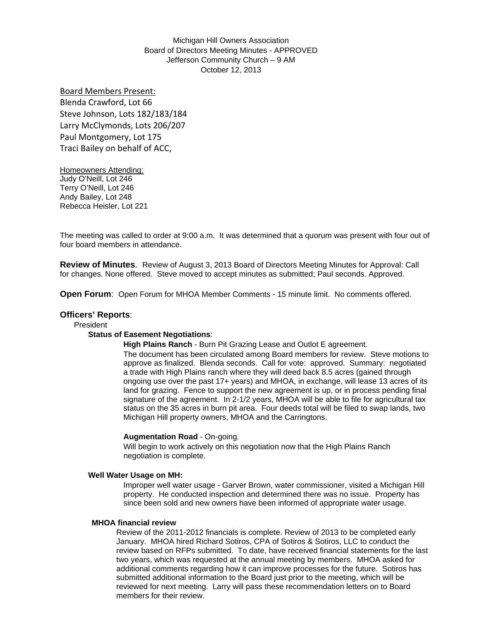Michigan Hill Owners Association Board of Directors Meeting Minutes - APPROVED Jefferson Community Church – 9 AM October 12, 2013

Board Members Present: Blenda Crawford, Lot 66 Steve Johnson, Lots 182/183/184 Larry McClymonds, Lots 206/207 Paul Montgomery, Lot 175 Traci Bailey on behalf of ACC,

Homeowners Attending: Judy O'Neill, Lot 246 Terry O'Neill, Lot 246 Andy Bailey, Lot 248 Rebecca Heisler, Lot 221

The meeting was called to order at 9:00 a.m. It was determined that a quorum was present with four out of four board members in attendance.

**Review of Minutes**. Review of August 3, 2013 Board of Directors Meeting Minutes for Approval: Call for changes. None offered. Steve moved to accept minutes as submitted; Paul seconds. Approved.

**Open Forum**: Open Forum for MHOA Member Comments - 15 minute limit. No comments offered.

# **Officers' Reports**:

## President

#### **Status of Easement Negotiations**:

**High Plains Ranch** - Burn Pit Grazing Lease and Outlot E agreement. The document has been circulated among Board members for review. Steve motions to approve as finalized. Blenda seconds. Call for vote: approved. Summary: negotiated a trade with High Plains ranch where they will deed back 8.5 acres (gained through ongoing use over the past 17+ years) and MHOA, in exchange, will lease 13 acres of its land for grazing. Fence to support the new agreement is up, or in process pending final signature of the agreement. In 2-1/2 years, MHOA will be able to file for agricultural tax status on the 35 acres in burn pit area. Four deeds total will be filed to swap lands, two Michigan Hill property owners, MHOA and the Carringtons.

#### **Augmentation Road** - On-going.

Will begin to work actively on this negotiation now that the High Plains Ranch negotiation is complete.

#### **Well Water Usage on MH:**

Improper well water usage - Garver Brown, water commissioner, visited a Michigan Hill property. He conducted inspection and determined there was no issue. Property has since been sold and new owners have been informed of appropriate water usage.

#### **MHOA financial review**

Review of the 2011-2012 financials is complete. Review of 2013 to be completed early January. MHOA hired Richard Sotiros, CPA of Sotiros & Sotiros, LLC to conduct the review based on RFPs submitted. To date, have received financial statements for the last two years, which was requested at the annual meeting by members. MHOA asked for additional comments regarding how it can improve processes for the future. Sotiros has submitted additional information to the Board just prior to the meeting, which will be reviewed for next meeting. Larry will pass these recommendation letters on to Board members for their review.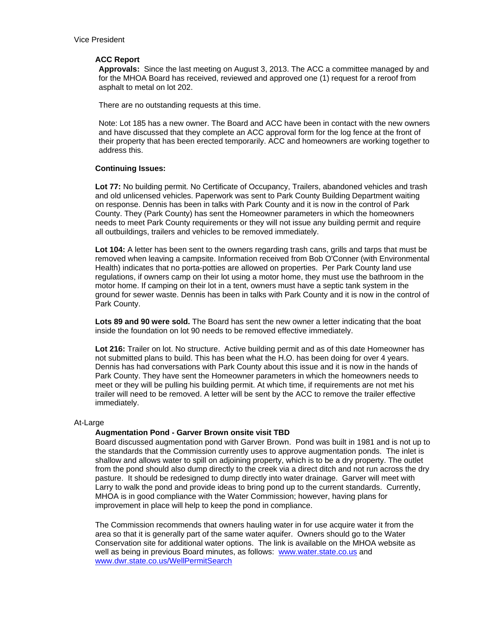## **ACC Report**

**Approvals:** Since the last meeting on August 3, 2013. The ACC a committee managed by and for the MHOA Board has received, reviewed and approved one (1) request for a reroof from asphalt to metal on lot 202.

There are no outstanding requests at this time.

Note: Lot 185 has a new owner. The Board and ACC have been in contact with the new owners and have discussed that they complete an ACC approval form for the log fence at the front of their property that has been erected temporarily. ACC and homeowners are working together to address this.

# **Continuing Issues:**

**Lot 77:** No building permit. No Certificate of Occupancy, Trailers, abandoned vehicles and trash and old unlicensed vehicles. Paperwork was sent to Park County Building Department waiting on response. Dennis has been in talks with Park County and it is now in the control of Park County. They (Park County) has sent the Homeowner parameters in which the homeowners needs to meet Park County requirements or they will not issue any building permit and require all outbuildings, trailers and vehicles to be removed immediately.

**Lot 104:** A letter has been sent to the owners regarding trash cans, grills and tarps that must be removed when leaving a campsite. Information received from Bob O'Conner (with Environmental Health) indicates that no porta-potties are allowed on properties. Per Park County land use regulations, if owners camp on their lot using a motor home, they must use the bathroom in the motor home. If camping on their lot in a tent, owners must have a septic tank system in the ground for sewer waste. Dennis has been in talks with Park County and it is now in the control of Park County.

Lots 89 and 90 were sold. The Board has sent the new owner a letter indicating that the boat inside the foundation on lot 90 needs to be removed effective immediately.

**Lot 216:** Trailer on lot. No structure. Active building permit and as of this date Homeowner has not submitted plans to build. This has been what the H.O. has been doing for over 4 years. Dennis has had conversations with Park County about this issue and it is now in the hands of Park County. They have sent the Homeowner parameters in which the homeowners needs to meet or they will be pulling his building permit. At which time, if requirements are not met his trailer will need to be removed. A letter will be sent by the ACC to remove the trailer effective immediately.

## At-Large

## **Augmentation Pond - Garver Brown onsite visit TBD**

Board discussed augmentation pond with Garver Brown. Pond was built in 1981 and is not up to the standards that the Commission currently uses to approve augmentation ponds. The inlet is shallow and allows water to spill on adjoining property, which is to be a dry property. The outlet from the pond should also dump directly to the creek via a direct ditch and not run across the dry pasture. It should be redesigned to dump directly into water drainage. Garver will meet with Larry to walk the pond and provide ideas to bring pond up to the current standards. Currently, MHOA is in good compliance with the Water Commission; however, having plans for improvement in place will help to keep the pond in compliance.

The Commission recommends that owners hauling water in for use acquire water it from the area so that it is generally part of the same water aquifer. Owners should go to the Water Conservation site for additional water options. The link is available on the MHOA website as well as being in previous Board minutes, as follows: www.water.state.co.us and www.dwr.state.co.us/WellPermitSearch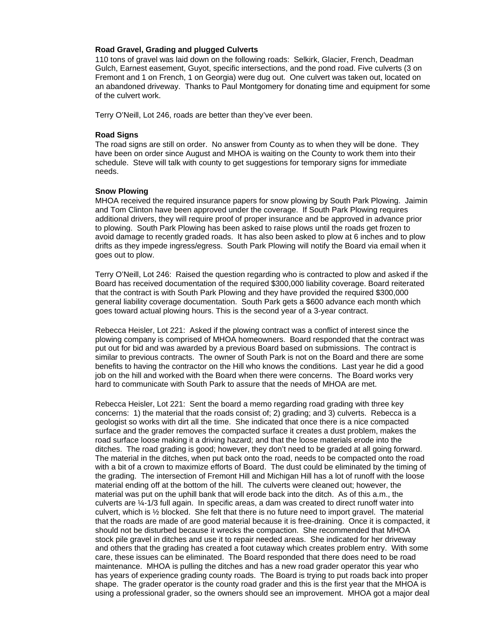### **Road Gravel, Grading and plugged Culverts**

110 tons of gravel was laid down on the following roads: Selkirk, Glacier, French, Deadman Gulch, Earnest easement, Guyot, specific intersections, and the pond road. Five culverts (3 on Fremont and 1 on French, 1 on Georgia) were dug out. One culvert was taken out, located on an abandoned driveway. Thanks to Paul Montgomery for donating time and equipment for some of the culvert work.

Terry O'Neill, Lot 246, roads are better than they've ever been.

### **Road Signs**

The road signs are still on order. No answer from County as to when they will be done. They have been on order since August and MHOA is waiting on the County to work them into their schedule. Steve will talk with county to get suggestions for temporary signs for immediate needs.

### **Snow Plowing**

MHOA received the required insurance papers for snow plowing by South Park Plowing. Jaimin and Tom Clinton have been approved under the coverage. If South Park Plowing requires additional drivers, they will require proof of proper insurance and be approved in advance prior to plowing. South Park Plowing has been asked to raise plows until the roads get frozen to avoid damage to recently graded roads. It has also been asked to plow at 6 inches and to plow drifts as they impede ingress/egress. South Park Plowing will notify the Board via email when it goes out to plow.

Terry O'Neill, Lot 246: Raised the question regarding who is contracted to plow and asked if the Board has received documentation of the required \$300,000 liability coverage. Board reiterated that the contract is with South Park Plowing and they have provided the required \$300,000 general liability coverage documentation. South Park gets a \$600 advance each month which goes toward actual plowing hours. This is the second year of a 3-year contract.

Rebecca Heisler, Lot 221: Asked if the plowing contract was a conflict of interest since the plowing company is comprised of MHOA homeowners. Board responded that the contract was put out for bid and was awarded by a previous Board based on submissions. The contract is similar to previous contracts. The owner of South Park is not on the Board and there are some benefits to having the contractor on the Hill who knows the conditions. Last year he did a good job on the hill and worked with the Board when there were concerns. The Board works very hard to communicate with South Park to assure that the needs of MHOA are met.

Rebecca Heisler, Lot 221: Sent the board a memo regarding road grading with three key concerns: 1) the material that the roads consist of; 2) grading; and 3) culverts. Rebecca is a geologist so works with dirt all the time. She indicated that once there is a nice compacted surface and the grader removes the compacted surface it creates a dust problem, makes the road surface loose making it a driving hazard; and that the loose materials erode into the ditches. The road grading is good; however, they don't need to be graded at all going forward. The material in the ditches, when put back onto the road, needs to be compacted onto the road with a bit of a crown to maximize efforts of Board. The dust could be eliminated by the timing of the grading. The intersection of Fremont Hill and Michigan Hill has a lot of runoff with the loose material ending off at the bottom of the hill. The culverts were cleaned out; however, the material was put on the uphill bank that will erode back into the ditch. As of this a.m., the culverts are ¼-1/3 full again. In specific areas, a dam was created to direct runoff water into culvert, which is ½ blocked. She felt that there is no future need to import gravel. The material that the roads are made of are good material because it is free-draining. Once it is compacted, it should not be disturbed because it wrecks the compaction. She recommended that MHOA stock pile gravel in ditches and use it to repair needed areas. She indicated for her driveway and others that the grading has created a foot cutaway which creates problem entry. With some care, these issues can be eliminated. The Board responded that there does need to be road maintenance. MHOA is pulling the ditches and has a new road grader operator this year who has years of experience grading county roads. The Board is trying to put roads back into proper shape. The grader operator is the county road grader and this is the first year that the MHOA is using a professional grader, so the owners should see an improvement. MHOA got a major deal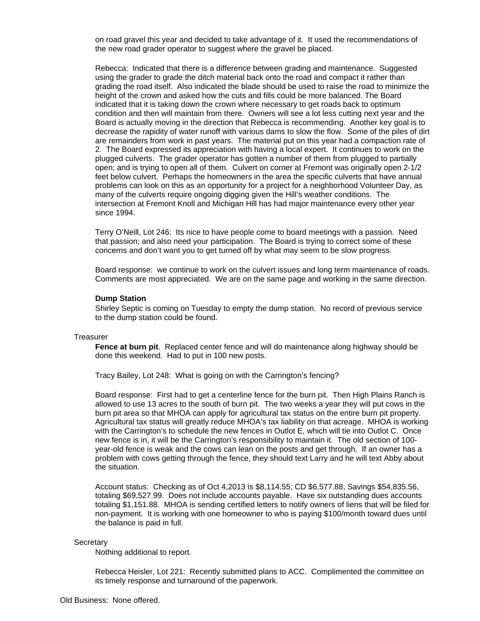on road gravel this year and decided to take advantage of it. It used the recommendations of the new road grader operator to suggest where the gravel be placed.

Rebecca: Indicated that there is a difference between grading and maintenance. Suggested using the grader to grade the ditch material back onto the road and compact it rather than grading the road itself. Also indicated the blade should be used to raise the road to minimize the height of the crown and asked how the cuts and fills could be more balanced. The Board indicated that it is taking down the crown where necessary to get roads back to optimum condition and then will maintain from there. Owners will see a lot less cutting next year and the Board is actually moving in the direction that Rebecca is recommending. Another key goal is to decrease the rapidity of water runoff with various dams to slow the flow. Some of the piles of dirt are remainders from work in past years. The material put on this year had a compaction rate of 2. The Board expressed its appreciation with having a local expert. It continues to work on the plugged culverts. The grader operator has gotten a number of them from plugged to partially open; and is trying to open all of them. Culvert on corner at Fremont was originally open 2-1/2 feet below culvert. Perhaps the homeowners in the area the specific culverts that have annual problems can look on this as an opportunity for a project for a neighborhood Volunteer Day, as many of the culverts require ongoing digging given the Hill's weather conditions. The intersection at Fremont Knoll and Michigan Hill has had major maintenance every other year since 1994.

Terry O'Neill, Lot 246: Its nice to have people come to board meetings with a passion. Need that passion; and also need your participation. The Board is trying to correct some of these concerns and don't want you to get turned off by what may seem to be slow progress.

Board response: we continue to work on the culvert issues and long term maintenance of roads. Comments are most appreciated. We are on the same page and working in the same direction.

#### **Dump Station**

Shirley Septic is coming on Tuesday to empty the dump station. No record of previous service to the dump station could be found.

#### **Treasurer**

**Fence at burn pit**. Replaced center fence and will do maintenance along highway should be done this weekend. Had to put in 100 new posts.

Tracy Bailey, Lot 248: What is going on with the Carrington's fencing?

Board response: First had to get a centerline fence for the burn pit. Then High Plains Ranch is allowed to use 13 acres to the south of burn pit. The two weeks a year they will put cows in the burn pit area so that MHOA can apply for agricultural tax status on the entire burn pit property. Agricultural tax status will greatly reduce MHOA's tax liability on that acreage. MHOA is working with the Carrington's to schedule the new fences in Outlot E, which will tie into Outlot C. Once new fence is in, it will be the Carrington's responsibility to maintain it. The old section of 100 year-old fence is weak and the cows can lean on the posts and get through. If an owner has a problem with cows getting through the fence, they should text Larry and he will text Abby about the situation.

Account status: Checking as of Oct 4,2013 is \$8,114.55; CD \$6,577.88, Savings \$54,835.56, totaling \$69,527.99. Does not include accounts payable. Have six outstanding dues accounts totaling \$1,151.88. MHOA is sending certified letters to notify owners of liens that will be filed for non-payment. It is working with one homeowner to who is paying \$100/month toward dues until the balance is paid in full.

#### **Secretary**

Nothing additional to report.

Rebecca Heisler, Lot 221: Recently submitted plans to ACC. Complimented the committee on its timely response and turnaround of the paperwork.